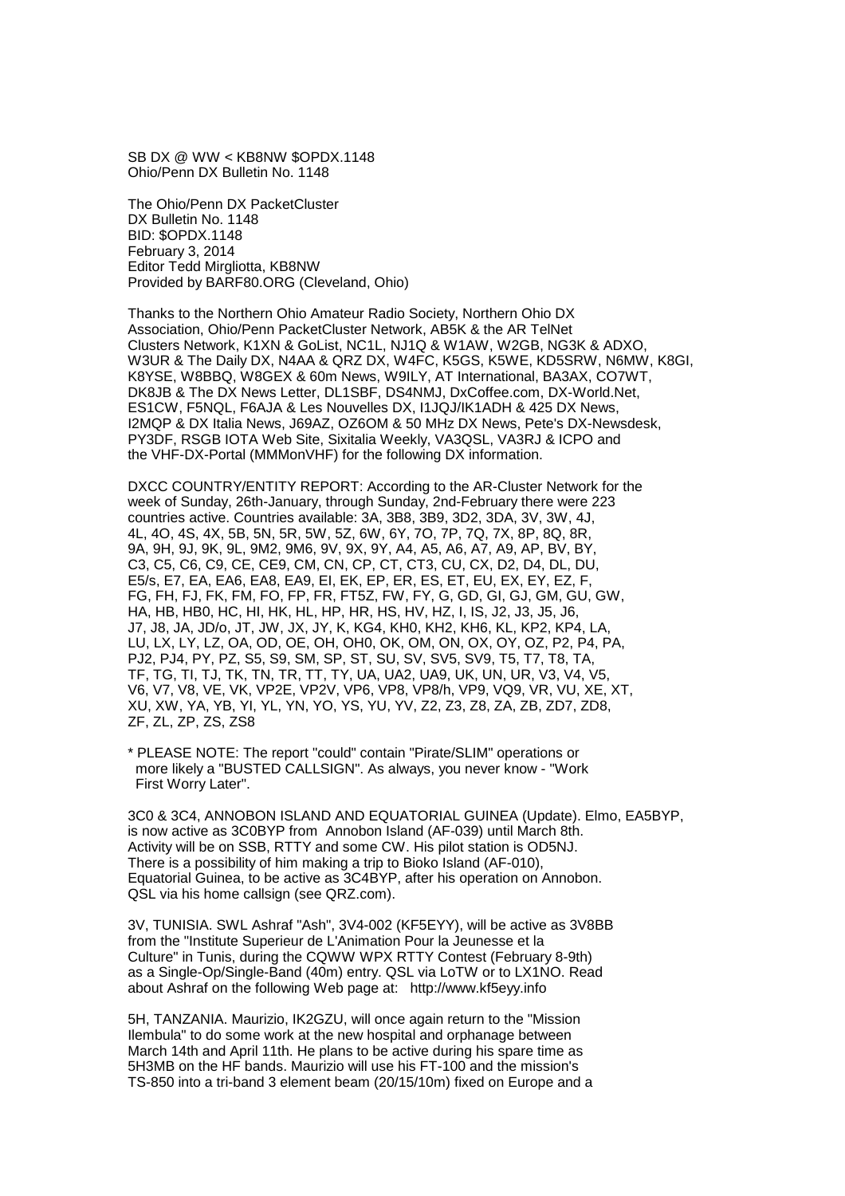SB DX @ WW < KB8NW \$OPDX.1148 Ohio/Penn DX Bulletin No. 1148

The Ohio/Penn DX PacketCluster DX Bulletin No. 1148 BID: \$OPDX.1148 February 3, 2014 Editor Tedd Mirgliotta, KB8NW Provided by BARF80.ORG (Cleveland, Ohio)

Thanks to the Northern Ohio Amateur Radio Society, Northern Ohio DX Association, Ohio/Penn PacketCluster Network, AB5K & the AR TelNet Clusters Network, K1XN & GoList, NC1L, NJ1Q & W1AW, W2GB, NG3K & ADXO, W3UR & The Daily DX, N4AA & QRZ DX, W4FC, K5GS, K5WE, KD5SRW, N6MW, K8GI, K8YSE, W8BBQ, W8GEX & 60m News, W9ILY, AT International, BA3AX, CO7WT, DK8JB & The DX News Letter, DL1SBF, DS4NMJ, DxCoffee.com, DX-World.Net, ES1CW, F5NQL, F6AJA & Les Nouvelles DX, I1JQJ/IK1ADH & 425 DX News, I2MQP & DX Italia News, J69AZ, OZ6OM & 50 MHz DX News, Pete's DX-Newsdesk, PY3DF, RSGB IOTA Web Site, Sixitalia Weekly, VA3QSL, VA3RJ & ICPO and the VHF-DX-Portal (MMMonVHF) for the following DX information.

DXCC COUNTRY/ENTITY REPORT: According to the AR-Cluster Network for the week of Sunday, 26th-January, through Sunday, 2nd-February there were 223 countries active. Countries available: 3A, 3B8, 3B9, 3D2, 3DA, 3V, 3W, 4J, 4L, 4O, 4S, 4X, 5B, 5N, 5R, 5W, 5Z, 6W, 6Y, 7O, 7P, 7Q, 7X, 8P, 8Q, 8R, 9A, 9H, 9J, 9K, 9L, 9M2, 9M6, 9V, 9X, 9Y, A4, A5, A6, A7, A9, AP, BV, BY, C3, C5, C6, C9, CE, CE9, CM, CN, CP, CT, CT3, CU, CX, D2, D4, DL, DU, E5/s, E7, EA, EA6, EA8, EA9, EI, EK, EP, ER, ES, ET, EU, EX, EY, EZ, F, FG, FH, FJ, FK, FM, FO, FP, FR, FT5Z, FW, FY, G, GD, GI, GJ, GM, GU, GW, HA, HB, HB0, HC, HI, HK, HL, HP, HR, HS, HV, HZ, I, IS, J2, J3, J5, J6, J7, J8, JA, JD/o, JT, JW, JX, JY, K, KG4, KH0, KH2, KH6, KL, KP2, KP4, LA, LU, LX, LY, LZ, OA, OD, OE, OH, OH0, OK, OM, ON, OX, OY, OZ, P2, P4, PA, PJ2, PJ4, PY, PZ, S5, S9, SM, SP, ST, SU, SV, SV5, SV9, T5, T7, T8, TA, TF, TG, TI, TJ, TK, TN, TR, TT, TY, UA, UA2, UA9, UK, UN, UR, V3, V4, V5, V6, V7, V8, VE, VK, VP2E, VP2V, VP6, VP8, VP8/h, VP9, VQ9, VR, VU, XE, XT, XU, XW, YA, YB, YI, YL, YN, YO, YS, YU, YV, Z2, Z3, Z8, ZA, ZB, ZD7, ZD8, ZF, ZL, ZP, ZS, ZS8

\* PLEASE NOTE: The report "could" contain "Pirate/SLIM" operations or more likely a "BUSTED CALLSIGN". As always, you never know - "Work First Worry Later".

3C0 & 3C4, ANNOBON ISLAND AND EQUATORIAL GUINEA (Update). Elmo, EA5BYP, is now active as 3C0BYP from Annobon Island (AF-039) until March 8th. Activity will be on SSB, RTTY and some CW. His pilot station is OD5NJ. There is a possibility of him making a trip to Bioko Island (AF-010), Equatorial Guinea, to be active as 3C4BYP, after his operation on Annobon. QSL via his home callsign (see QRZ.com).

3V, TUNISIA. SWL Ashraf "Ash", 3V4-002 (KF5EYY), will be active as 3V8BB from the "Institute Superieur de L'Animation Pour la Jeunesse et la Culture" in Tunis, during the CQWW WPX RTTY Contest (February 8-9th) as a Single-Op/Single-Band (40m) entry. QSL via LoTW or to LX1NO. Read about Ashraf on the following Web page at: http://www.kf5eyy.info

5H, TANZANIA. Maurizio, IK2GZU, will once again return to the "Mission Ilembula" to do some work at the new hospital and orphanage between March 14th and April 11th. He plans to be active during his spare time as 5H3MB on the HF bands. Maurizio will use his FT-100 and the mission's TS-850 into a tri-band 3 element beam (20/15/10m) fixed on Europe and a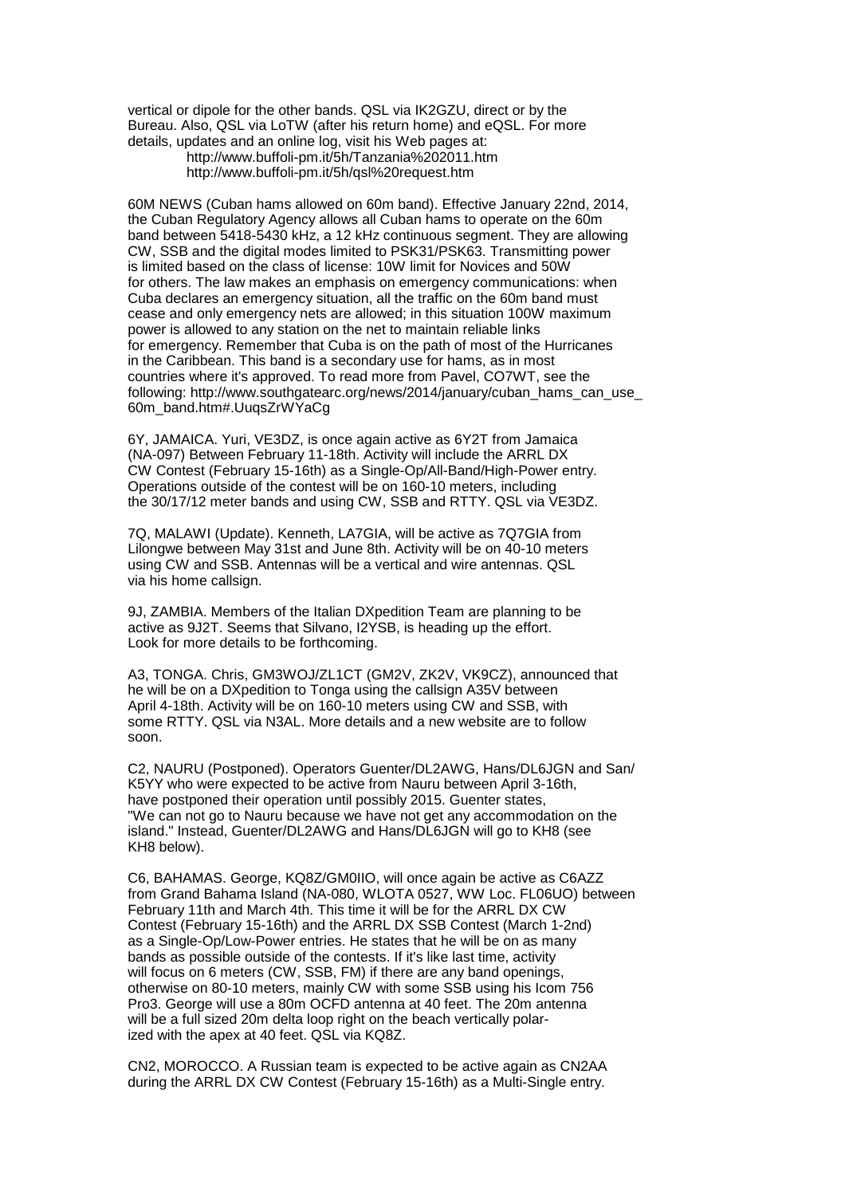vertical or dipole for the other bands. QSL via IK2GZU, direct or by the Bureau. Also, QSL via LoTW (after his return home) and eQSL. For more details, updates and an online log, visit his Web pages at:

 http://www.buffoli-pm.it/5h/Tanzania%202011.htm http://www.buffoli-pm.it/5h/qsl%20request.htm

60M NEWS (Cuban hams allowed on 60m band). Effective January 22nd, 2014, the Cuban Regulatory Agency allows all Cuban hams to operate on the 60m band between 5418-5430 kHz, a 12 kHz continuous segment. They are allowing CW, SSB and the digital modes limited to PSK31/PSK63. Transmitting power is limited based on the class of license: 10W limit for Novices and 50W for others. The law makes an emphasis on emergency communications: when Cuba declares an emergency situation, all the traffic on the 60m band must cease and only emergency nets are allowed; in this situation 100W maximum power is allowed to any station on the net to maintain reliable links for emergency. Remember that Cuba is on the path of most of the Hurricanes in the Caribbean. This band is a secondary use for hams, as in most countries where it's approved. To read more from Pavel, CO7WT, see the following: http://www.southgatearc.org/news/2014/january/cuban\_hams\_can\_use\_ 60m\_band.htm#.UuqsZrWYaCg

6Y, JAMAICA. Yuri, VE3DZ, is once again active as 6Y2T from Jamaica (NA-097) Between February 11-18th. Activity will include the ARRL DX CW Contest (February 15-16th) as a Single-Op/All-Band/High-Power entry. Operations outside of the contest will be on 160-10 meters, including the 30/17/12 meter bands and using CW, SSB and RTTY. QSL via VE3DZ.

7Q, MALAWI (Update). Kenneth, LA7GIA, will be active as 7Q7GIA from Lilongwe between May 31st and June 8th. Activity will be on 40-10 meters using CW and SSB. Antennas will be a vertical and wire antennas. QSL via his home callsign.

9J, ZAMBIA. Members of the Italian DXpedition Team are planning to be active as 9J2T. Seems that Silvano, I2YSB, is heading up the effort. Look for more details to be forthcoming.

A3, TONGA. Chris, GM3WOJ/ZL1CT (GM2V, ZK2V, VK9CZ), announced that he will be on a DXpedition to Tonga using the callsign A35V between April 4-18th. Activity will be on 160-10 meters using CW and SSB, with some RTTY. QSL via N3AL. More details and a new website are to follow soon.

C2, NAURU (Postponed). Operators Guenter/DL2AWG, Hans/DL6JGN and San/ K5YY who were expected to be active from Nauru between April 3-16th, have postponed their operation until possibly 2015. Guenter states, "We can not go to Nauru because we have not get any accommodation on the island." Instead, Guenter/DL2AWG and Hans/DL6JGN will go to KH8 (see KH8 below).

C6, BAHAMAS. George, KQ8Z/GM0IIO, will once again be active as C6AZZ from Grand Bahama Island (NA-080, WLOTA 0527, WW Loc. FL06UO) between February 11th and March 4th. This time it will be for the ARRL DX CW Contest (February 15-16th) and the ARRL DX SSB Contest (March 1-2nd) as a Single-Op/Low-Power entries. He states that he will be on as many bands as possible outside of the contests. If it's like last time, activity will focus on 6 meters (CW, SSB, FM) if there are any band openings. otherwise on 80-10 meters, mainly CW with some SSB using his Icom 756 Pro3. George will use a 80m OCFD antenna at 40 feet. The 20m antenna will be a full sized 20m delta loop right on the beach vertically polarized with the apex at 40 feet. QSL via KQ8Z.

CN2, MOROCCO. A Russian team is expected to be active again as CN2AA during the ARRL DX CW Contest (February 15-16th) as a Multi-Single entry.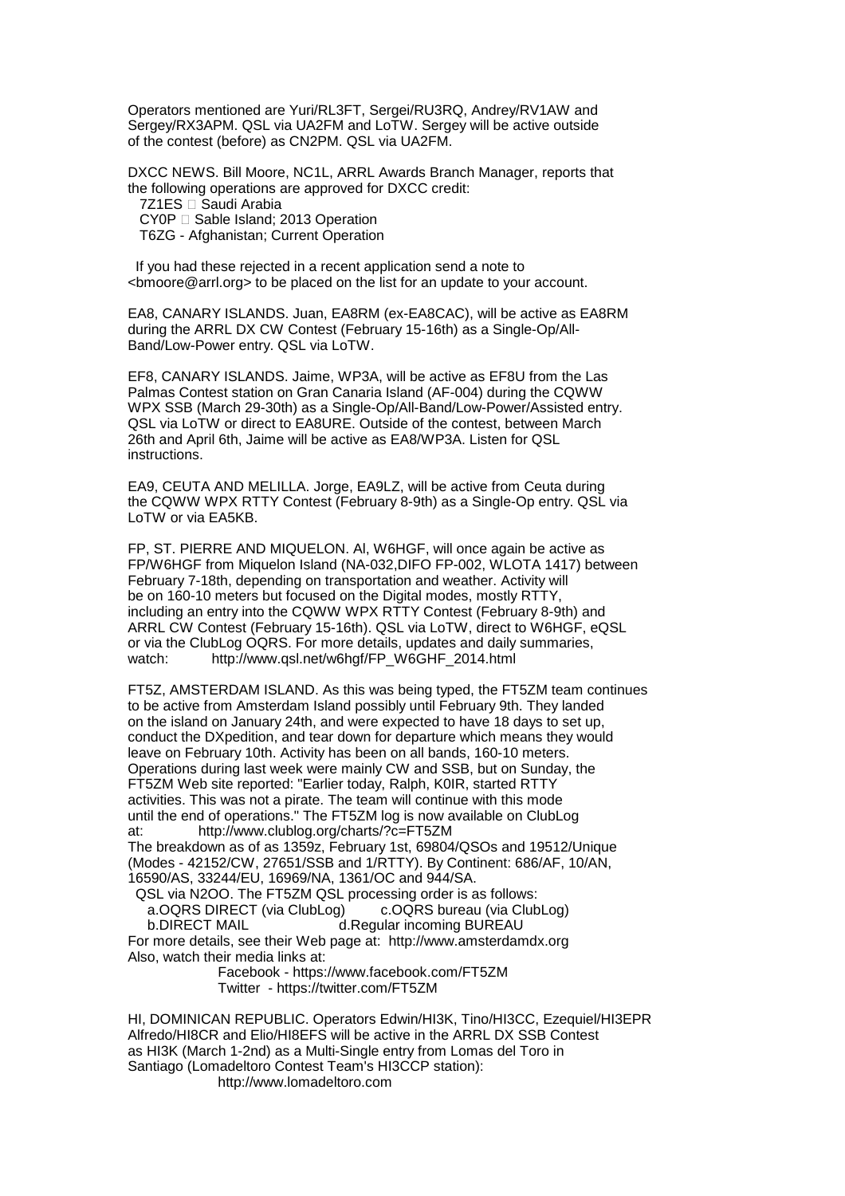Operators mentioned are Yuri/RL3FT, Sergei/RU3RQ, Andrey/RV1AW and Sergey/RX3APM. QSL via UA2FM and LoTW. Sergey will be active outside of the contest (before) as CN2PM. QSL via UA2FM.

DXCC NEWS. Bill Moore, NC1L, ARRL Awards Branch Manager, reports that the following operations are approved for DXCC credit:<br>7Z1ES Saudi Arabia

Saudi Arabia

CY0P Sable Island; 2013 Operation

T6ZG - Afghanistan; Current Operation

 If you had these rejected in a recent application send a note to <bmoore@arrl.org> to be placed on the list for an update to your account.

EA8, CANARY ISLANDS. Juan, EA8RM (ex-EA8CAC), will be active as EA8RM during the ARRL DX CW Contest (February 15-16th) as a Single-Op/All-Band/Low-Power entry. QSL via LoTW.

EF8, CANARY ISLANDS. Jaime, WP3A, will be active as EF8U from the Las Palmas Contest station on Gran Canaria Island (AF-004) during the CQWW WPX SSB (March 29-30th) as a Single-Op/All-Band/Low-Power/Assisted entry. QSL via LoTW or direct to EA8URE. Outside of the contest, between March 26th and April 6th, Jaime will be active as EA8/WP3A. Listen for QSL instructions.

EA9, CEUTA AND MELILLA. Jorge, EA9LZ, will be active from Ceuta during the CQWW WPX RTTY Contest (February 8-9th) as a Single-Op entry. QSL via LoTW or via EA5KB.

FP, ST. PIERRE AND MIQUELON. Al, W6HGF, will once again be active as FP/W6HGF from Miquelon Island (NA-032,DIFO FP-002, WLOTA 1417) between February 7-18th, depending on transportation and weather. Activity will be on 160-10 meters but focused on the Digital modes, mostly RTTY, including an entry into the CQWW WPX RTTY Contest (February 8-9th) and ARRL CW Contest (February 15-16th). QSL via LoTW, direct to W6HGF, eQSL or via the ClubLog OQRS. For more details, updates and daily summaries, watch: http://www.gsl.net/w6hqf/FP W6GHF 2014.html http://www.qsl.net/w6hgf/FP\_W6GHF\_2014.html

FT5Z, AMSTERDAM ISLAND. As this was being typed, the FT5ZM team continues to be active from Amsterdam Island possibly until February 9th. They landed on the island on January 24th, and were expected to have 18 days to set up, conduct the DXpedition, and tear down for departure which means they would leave on February 10th. Activity has been on all bands, 160-10 meters. Operations during last week were mainly CW and SSB, but on Sunday, the FT5ZM Web site reported: "Earlier today, Ralph, K0IR, started RTTY activities. This was not a pirate. The team will continue with this mode until the end of operations." The FT5ZM log is now available on ClubLog at: http://www.clublog.org/charts/?c=FT5ZM The breakdown as of as 1359z, February 1st, 69804/QSOs and 19512/Unique (Modes - 42152/CW, 27651/SSB and 1/RTTY). By Continent: 686/AF, 10/AN, 16590/AS, 33244/EU, 16969/NA, 1361/OC and 944/SA.

QSL via N2OO. The FT5ZM QSL processing order is as follows:<br>a.OQRS DIRECT (via ClubLog) c.OQRS bureau (via ClubLog) a.OQRS DIRECT (via ClubLog) b.DIRECT MAIL d.Regular incoming BUREAU

For more details, see their Web page at: http://www.amsterdamdx.org Also, watch their media links at:

> Facebook - https://www.facebook.com/FT5ZM Twitter - https://twitter.com/FT5ZM

HI, DOMINICAN REPUBLIC. Operators Edwin/HI3K, Tino/HI3CC, Ezequiel/HI3EPR Alfredo/HI8CR and Elio/HI8EFS will be active in the ARRL DX SSB Contest as HI3K (March 1-2nd) as a Multi-Single entry from Lomas del Toro in Santiago (Lomadeltoro Contest Team's HI3CCP station): http://www.lomadeltoro.com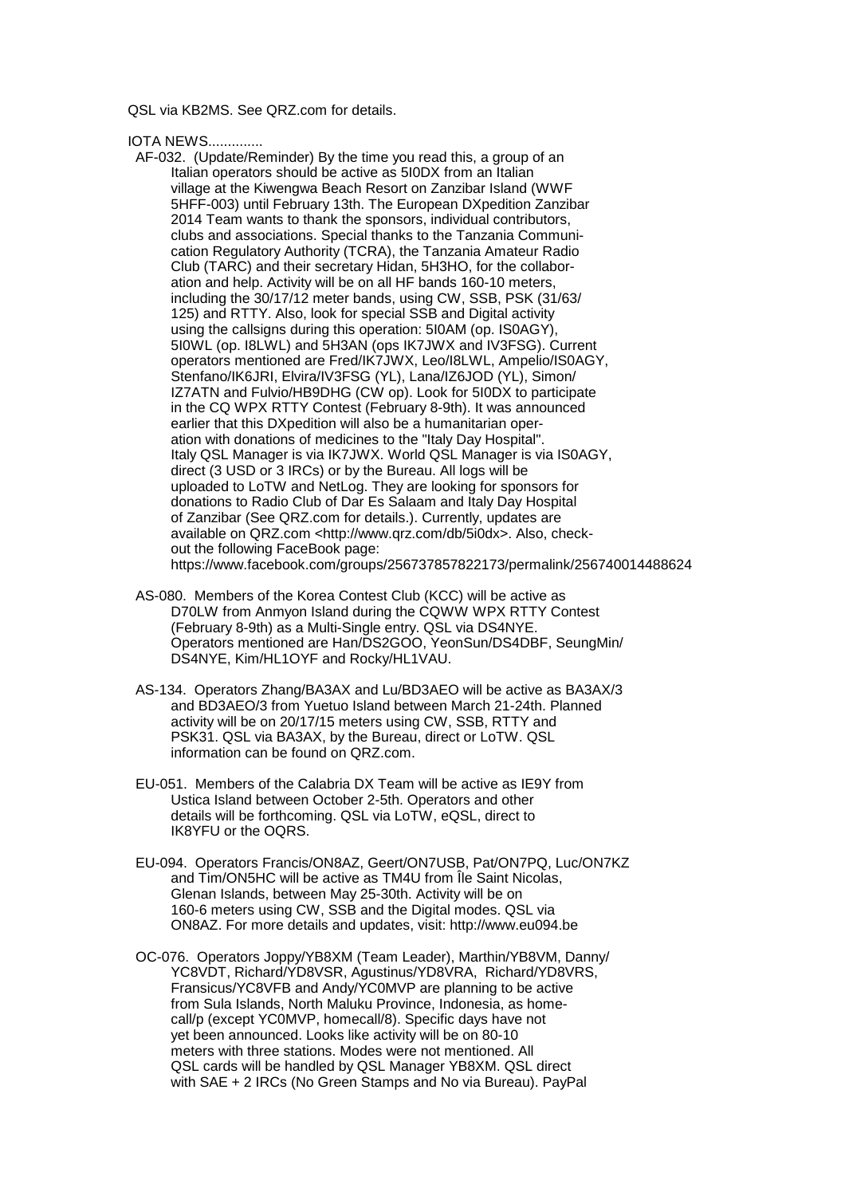QSL via KB2MS. See QRZ.com for details.

IOTA NEWS..............

- AF-032. (Update/Reminder) By the time you read this, a group of an Italian operators should be active as 5I0DX from an Italian village at the Kiwengwa Beach Resort on Zanzibar Island (WWF 5HFF-003) until February 13th. The European DXpedition Zanzibar 2014 Team wants to thank the sponsors, individual contributors, clubs and associations. Special thanks to the Tanzania Communi cation Regulatory Authority (TCRA), the Tanzania Amateur Radio Club (TARC) and their secretary Hidan, 5H3HO, for the collabor ation and help. Activity will be on all HF bands 160-10 meters, including the 30/17/12 meter bands, using CW, SSB, PSK (31/63/ 125) and RTTY. Also, look for special SSB and Digital activity using the callsigns during this operation: 5I0AM (op. IS0AGY), 5I0WL (op. I8LWL) and 5H3AN (ops IK7JWX and IV3FSG). Current operators mentioned are Fred/IK7JWX, Leo/I8LWL, Ampelio/IS0AGY, Stenfano/IK6JRI, Elvira/IV3FSG (YL), Lana/IZ6JOD (YL), Simon/ IZ7ATN and Fulvio/HB9DHG (CW op). Look for 5I0DX to participate in the CQ WPX RTTY Contest (February 8-9th). It was announced earlier that this DXpedition will also be a humanitarian oper ation with donations of medicines to the "Italy Day Hospital". Italy QSL Manager is via IK7JWX. World QSL Manager is via IS0AGY, direct (3 USD or 3 IRCs) or by the Bureau. All logs will be uploaded to LoTW and NetLog. They are looking for sponsors for donations to Radio Club of Dar Es Salaam and Italy Day Hospital of Zanzibar (See QRZ.com for details.). Currently, updates are available on QRZ.com <http://www.qrz.com/db/5i0dx>. Also, check out the following FaceBook page: https://www.facebook.com/groups/256737857822173/permalink/256740014488624
- AS-080. Members of the Korea Contest Club (KCC) will be active as D70LW from Anmyon Island during the CQWW WPX RTTY Contest (February 8-9th) as a Multi-Single entry. QSL via DS4NYE. Operators mentioned are Han/DS2GOO, YeonSun/DS4DBF, SeungMin/ DS4NYE, Kim/HL1OYF and Rocky/HL1VAU.
- AS-134. Operators Zhang/BA3AX and Lu/BD3AEO will be active as BA3AX/3 and BD3AEO/3 from Yuetuo Island between March 21-24th. Planned activity will be on 20/17/15 meters using CW, SSB, RTTY and PSK31. QSL via BA3AX, by the Bureau, direct or LoTW. QSL information can be found on QRZ.com.
- EU-051. Members of the Calabria DX Team will be active as IE9Y from Ustica Island between October 2-5th. Operators and other details will be forthcoming. QSL via LoTW, eQSL, direct to IK8YFU or the OQRS.
- EU-094. Operators Francis/ON8AZ, Geert/ON7USB, Pat/ON7PQ, Luc/ON7KZ and Tim/ON5HC will be active as TM4U from Île Saint Nicolas, Glenan Islands, between May 25-30th. Activity will be on 160-6 meters using CW, SSB and the Digital modes. QSL via ON8AZ. For more details and updates, visit: http://www.eu094.be
- OC-076. Operators Joppy/YB8XM (Team Leader), Marthin/YB8VM, Danny/ YC8VDT, Richard/YD8VSR, Agustinus/YD8VRA, Richard/YD8VRS, Fransicus/YC8VFB and Andy/YC0MVP are planning to be active from Sula Islands, North Maluku Province, Indonesia, as home call/p (except YC0MVP, homecall/8). Specific days have not yet been announced. Looks like activity will be on 80-10 meters with three stations. Modes were not mentioned. All QSL cards will be handled by QSL Manager YB8XM. QSL direct with SAE + 2 IRCs (No Green Stamps and No via Bureau). PayPal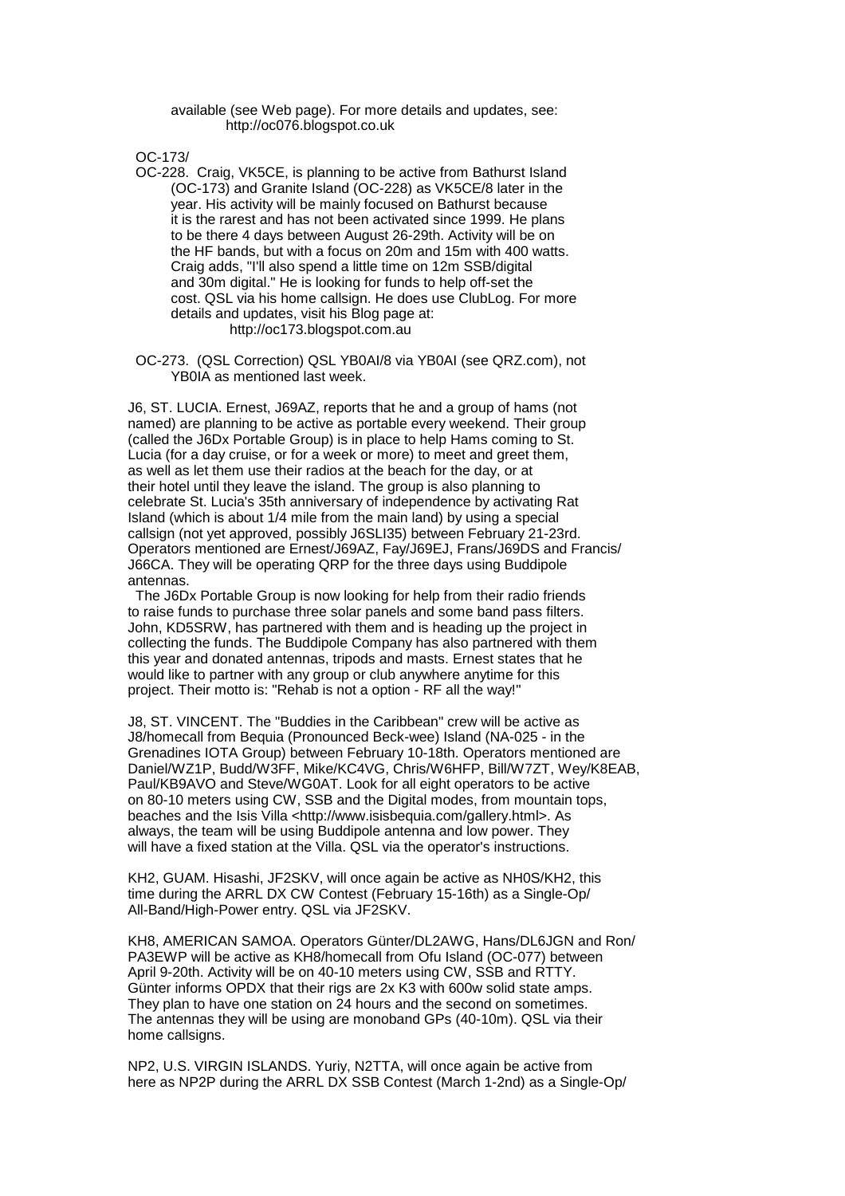## available (see Web page). For more details and updates, see: http://oc076.blogspot.co.uk

OC-173/

 OC-228. Craig, VK5CE, is planning to be active from Bathurst Island (OC-173) and Granite Island (OC-228) as VK5CE/8 later in the year. His activity will be mainly focused on Bathurst because it is the rarest and has not been activated since 1999. He plans to be there 4 days between August 26-29th. Activity will be on the HF bands, but with a focus on 20m and 15m with 400 watts. Craig adds, "I'll also spend a little time on 12m SSB/digital and 30m digital." He is looking for funds to help off-set the cost. QSL via his home callsign. He does use ClubLog. For more details and updates, visit his Blog page at: http://oc173.blogspot.com.au

 OC-273. (QSL Correction) QSL YB0AI/8 via YB0AI (see QRZ.com), not YB0IA as mentioned last week.

J6, ST. LUCIA. Ernest, J69AZ, reports that he and a group of hams (not named) are planning to be active as portable every weekend. Their group (called the J6Dx Portable Group) is in place to help Hams coming to St. Lucia (for a day cruise, or for a week or more) to meet and greet them, as well as let them use their radios at the beach for the day, or at their hotel until they leave the island. The group is also planning to celebrate St. Lucia's 35th anniversary of independence by activating Rat Island (which is about 1/4 mile from the main land) by using a special callsign (not yet approved, possibly J6SLI35) between February 21-23rd. Operators mentioned are Ernest/J69AZ, Fay/J69EJ, Frans/J69DS and Francis/ J66CA. They will be operating QRP for the three days using Buddipole antennas.

 The J6Dx Portable Group is now looking for help from their radio friends to raise funds to purchase three solar panels and some band pass filters. John, KD5SRW, has partnered with them and is heading up the project in collecting the funds. The Buddipole Company has also partnered with them this year and donated antennas, tripods and masts. Ernest states that he would like to partner with any group or club anywhere anytime for this project. Their motto is: "Rehab is not a option - RF all the way!"

J8, ST. VINCENT. The "Buddies in the Caribbean" crew will be active as J8/homecall from Bequia (Pronounced Beck-wee) Island (NA-025 - in the Grenadines IOTA Group) between February 10-18th. Operators mentioned are Daniel/WZ1P, Budd/W3FF, Mike/KC4VG, Chris/W6HFP, Bill/W7ZT, Wey/K8EAB, Paul/KB9AVO and Steve/WG0AT. Look for all eight operators to be active on 80-10 meters using CW, SSB and the Digital modes, from mountain tops, beaches and the Isis Villa <http://www.isisbequia.com/gallery.html>. As always, the team will be using Buddipole antenna and low power. They will have a fixed station at the Villa. QSL via the operator's instructions.

KH2, GUAM. Hisashi, JF2SKV, will once again be active as NH0S/KH2, this time during the ARRL DX CW Contest (February 15-16th) as a Single-Op/ All-Band/High-Power entry. QSL via JF2SKV.

KH8, AMERICAN SAMOA. Operators Günter/DL2AWG, Hans/DL6JGN and Ron/ PA3EWP will be active as KH8/homecall from Ofu Island (OC-077) between April 9-20th. Activity will be on 40-10 meters using CW, SSB and RTTY. Günter informs OPDX that their rigs are 2x K3 with 600w solid state amps. They plan to have one station on 24 hours and the second on sometimes. The antennas they will be using are monoband GPs (40-10m). QSL via their home callsigns.

NP2, U.S. VIRGIN ISLANDS. Yuriy, N2TTA, will once again be active from here as NP2P during the ARRL DX SSB Contest (March 1-2nd) as a Single-Op/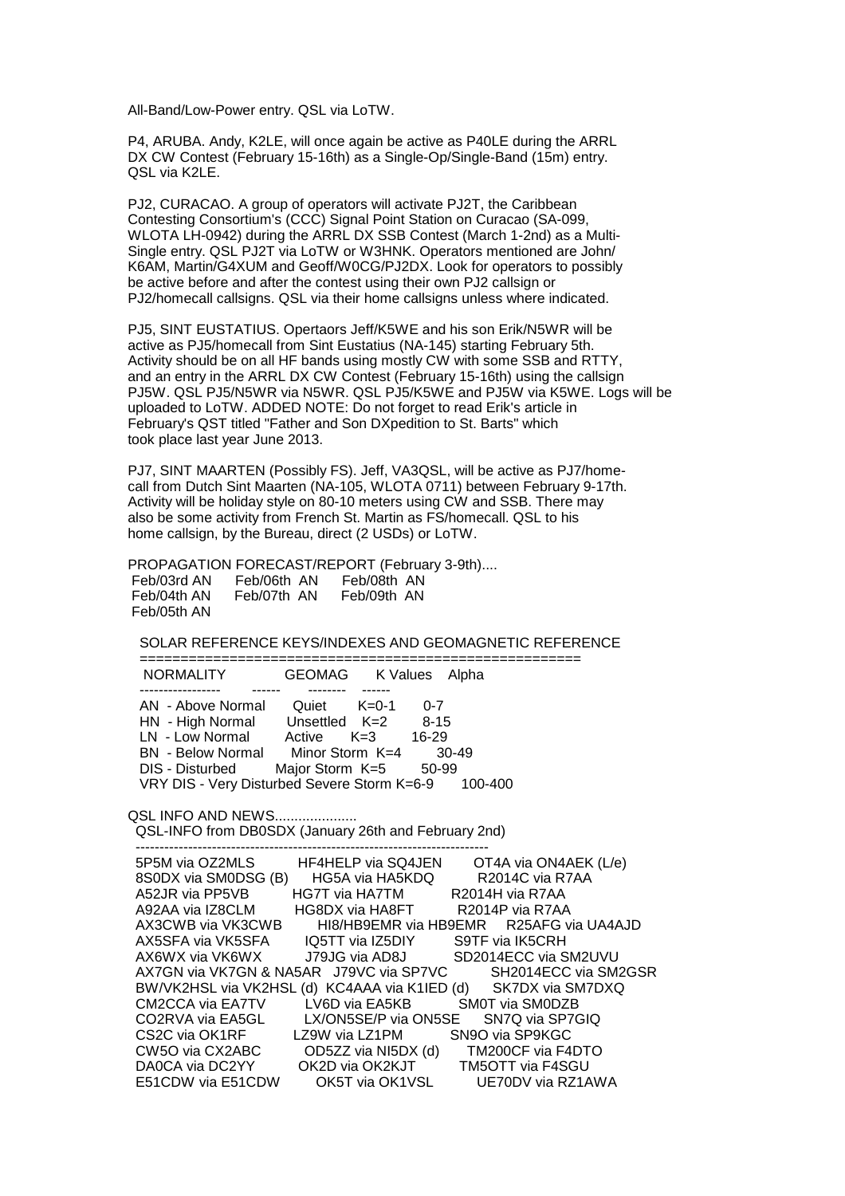All-Band/Low-Power entry. QSL via LoTW.

P4, ARUBA. Andy, K2LE, will once again be active as P40LE during the ARRL DX CW Contest (February 15-16th) as a Single-Op/Single-Band (15m) entry. QSL via K2LE.

PJ2, CURACAO. A group of operators will activate PJ2T, the Caribbean Contesting Consortium's (CCC) Signal Point Station on Curacao (SA-099, WLOTA LH-0942) during the ARRL DX SSB Contest (March 1-2nd) as a Multi-Single entry. QSL PJ2T via LoTW or W3HNK. Operators mentioned are John/ K6AM, Martin/G4XUM and Geoff/W0CG/PJ2DX. Look for operators to possibly be active before and after the contest using their own PJ2 callsign or PJ2/homecall callsigns. QSL via their home callsigns unless where indicated.

PJ5, SINT EUSTATIUS. Opertaors Jeff/K5WE and his son Erik/N5WR will be active as PJ5/homecall from Sint Eustatius (NA-145) starting February 5th. Activity should be on all HF bands using mostly CW with some SSB and RTTY, and an entry in the ARRL DX CW Contest (February 15-16th) using the callsign PJ5W. QSL PJ5/N5WR via N5WR. QSL PJ5/K5WE and PJ5W via K5WE. Logs will be uploaded to LoTW. ADDED NOTE: Do not forget to read Erik's article in February's QST titled "Father and Son DXpedition to St. Barts" which took place last year June 2013.

PJ7, SINT MAARTEN (Possibly FS). Jeff, VA3QSL, will be active as PJ7/homecall from Dutch Sint Maarten (NA-105, WLOTA 0711) between February 9-17th. Activity will be holiday style on 80-10 meters using CW and SSB. There may also be some activity from French St. Martin as FS/homecall. QSL to his home callsign, by the Bureau, direct (2 USDs) or LoTW.

PROPAGATION FORECAST/REPORT (February 3-9th)....

 Feb/03rd AN Feb/06th AN Feb/08th AN Feb/07th AN Feb/05th AN

SOLAR REFERENCE KEYS/INDEXES AND GEOMAGNETIC REFERENCE

| <b>NORMALITY</b>                                    | GEOMAG K Values Alpha |          |
|-----------------------------------------------------|-----------------------|----------|
|                                                     |                       |          |
| AN - Above Normal                                   | Quiet<br>$K=0-1$      | $0 - 7$  |
| HN - High Normal                                    | Unsettled K=2         | $8 - 15$ |
| LN - Low Normal                                     | $K=3$<br>Active       | $16-29$  |
| <b>BN</b> - Below Normal                            | Minor Storm $K=4$     | $30-49$  |
| DIS - Disturbed                                     | Major Storm K=5       | 50-99    |
| VRY DIS - Very Disturbed Severe Storm K=6-9 100-400 |                       |          |

**QSL INFO AND NEWS....................** 

 QSL-INFO from DB0SDX (January 26th and February 2nd) --------------------------------------------------------------------------

| OT4A via ON4AEK (L/e)<br>5P5M via OZ2MLS<br><b>HF4HELP</b> via SQ4JEN                |
|--------------------------------------------------------------------------------------|
| R <sub>2014</sub> C via R <sub>7</sub> AA<br>8S0DX via SM0DSG (B)<br>HG5A via HA5KDQ |
| A52JR via PP5VB<br>HG7T via HA7TM<br>R2014H via R7AA                                 |
| A92AA via IZ8CLM<br>HG8DX via HA8FT<br>R2014P via R7AA                               |
| AX3CWB via VK3CWB<br>HI8/HB9EMR via HB9EMR R25AFG via UA4AJD                         |
| AX5SFA via VK5SFA         IQ5TT via IZ5DIY<br>S9TF via IK5CRH                        |
| J79JG via AD8J<br>SD2014ECC via SM2UVU<br>AX6WX via VK6WX                            |
| SH2014ECC via SM2GSR<br>AX7GN via VK7GN & NA5AR   J79VC via SP7VC                    |
| BW/VK2HSL via VK2HSL (d) KC4AAA via K1IED (d) SK7DX via SM7DXQ                       |
| LV6D via EA5KB SM0T via SM0DZB<br>CM2CCA via EA7TV                                   |
| CO2RVA via EA5GL<br>LX/ON5SE/P via ON5SE<br>SN7Q via SP7GIQ                          |
| CS2C via OK1RF LZ9W via LZ1PM<br>SN9O via SP9KGC                                     |
| CW5O via CX2ABC<br>TM200CF via F4DTO<br>OD5ZZ via NI5DX (d)                          |
| OK2D via OK2KJT TM5OTT via F4SGU<br>DA0CA via DC2YY                                  |
| OK5T via OK1VSL UE70DV via RZ1AWA<br>E51CDW via E51CDW                               |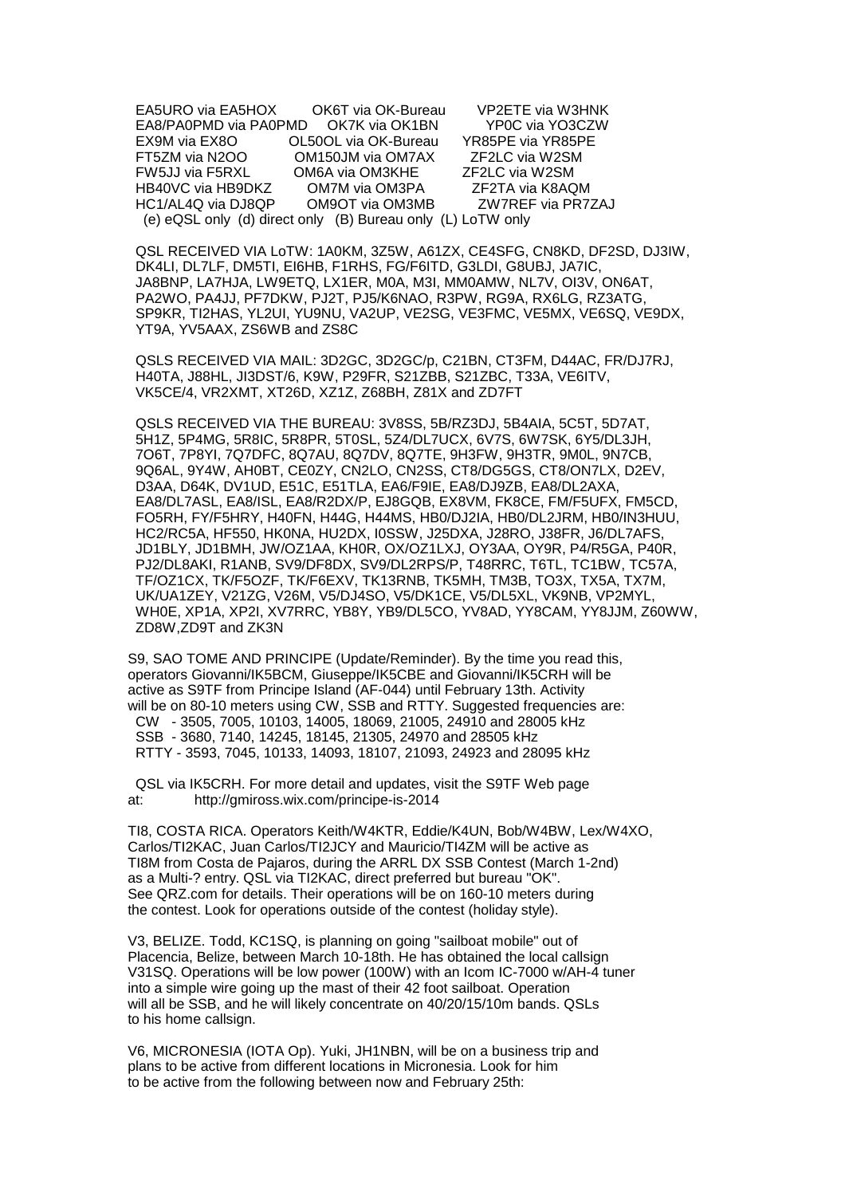EA5URO via EA5HOX OK6T via OK-Bureau VP2ETE via W3HNK EA8/PA0PMD via PA0PMD OK7K via OK1BN YP0C via YO3CZW EX9M via EX8O OL50OL via OK-Bureau YR85PE via YR85PE FT5ZM via N2OO OM150JM via OM7AX ZF2LC via W2SM FW5JJ via F5RXL OM6A via OM3KHE ZF2LC via W2SM HB40VC via HB9DKZ OM7M via OM3PA ZF2TA via K8AQM HC1/AL4Q via DJ8QP OM9OT via OM3MB ZW7REF via PR7ZAJ (e) eQSL only (d) direct only (B) Bureau only (L) LoTW only

 QSL RECEIVED VIA LoTW: 1A0KM, 3Z5W, A61ZX, CE4SFG, CN8KD, DF2SD, DJ3IW, DK4LI, DL7LF, DM5TI, EI6HB, F1RHS, FG/F6ITD, G3LDI, G8UBJ, JA7IC, JA8BNP, LA7HJA, LW9ETQ, LX1ER, M0A, M3I, MM0AMW, NL7V, OI3V, ON6AT, PA2WO, PA4JJ, PF7DKW, PJ2T, PJ5/K6NAO, R3PW, RG9A, RX6LG, RZ3ATG, SP9KR, TI2HAS, YL2UI, YU9NU, VA2UP, VE2SG, VE3FMC, VE5MX, VE6SQ, VE9DX, YT9A, YV5AAX, ZS6WB and ZS8C

 QSLS RECEIVED VIA MAIL: 3D2GC, 3D2GC/p, C21BN, CT3FM, D44AC, FR/DJ7RJ, H40TA, J88HL, JI3DST/6, K9W, P29FR, S21ZBB, S21ZBC, T33A, VE6ITV, VK5CE/4, VR2XMT, XT26D, XZ1Z, Z68BH, Z81X and ZD7FT

 QSLS RECEIVED VIA THE BUREAU: 3V8SS, 5B/RZ3DJ, 5B4AIA, 5C5T, 5D7AT, 5H1Z, 5P4MG, 5R8IC, 5R8PR, 5T0SL, 5Z4/DL7UCX, 6V7S, 6W7SK, 6Y5/DL3JH, 7O6T, 7P8YI, 7Q7DFC, 8Q7AU, 8Q7DV, 8Q7TE, 9H3FW, 9H3TR, 9M0L, 9N7CB, 9Q6AL, 9Y4W, AH0BT, CE0ZY, CN2LO, CN2SS, CT8/DG5GS, CT8/ON7LX, D2EV, D3AA, D64K, DV1UD, E51C, E51TLA, EA6/F9IE, EA8/DJ9ZB, EA8/DL2AXA, EA8/DL7ASL, EA8/ISL, EA8/R2DX/P, EJ8GQB, EX8VM, FK8CE, FM/F5UFX, FM5CD, FO5RH, FY/F5HRY, H40FN, H44G, H44MS, HB0/DJ2IA, HB0/DL2JRM, HB0/IN3HUU, HC2/RC5A, HF550, HK0NA, HU2DX, I0SSW, J25DXA, J28RO, J38FR, J6/DL7AFS, JD1BLY, JD1BMH, JW/OZ1AA, KH0R, OX/OZ1LXJ, OY3AA, OY9R, P4/R5GA, P40R, PJ2/DL8AKI, R1ANB, SV9/DF8DX, SV9/DL2RPS/P, T48RRC, T6TL, TC1BW, TC57A, TF/OZ1CX, TK/F5OZF, TK/F6EXV, TK13RNB, TK5MH, TM3B, TO3X, TX5A, TX7M, UK/UA1ZEY, V21ZG, V26M, V5/DJ4SO, V5/DK1CE, V5/DL5XL, VK9NB, VP2MYL, WH0E, XP1A, XP2I, XV7RRC, YB8Y, YB9/DL5CO, YV8AD, YY8CAM, YY8JJM, Z60WW, ZD8W,ZD9T and ZK3N

S9, SAO TOME AND PRINCIPE (Update/Reminder). By the time you read this, operators Giovanni/IK5BCM, Giuseppe/IK5CBE and Giovanni/IK5CRH will be active as S9TF from Principe Island (AF-044) until February 13th. Activity will be on 80-10 meters using CW, SSB and RTTY. Suggested frequencies are: CW - 3505, 7005, 10103, 14005, 18069, 21005, 24910 and 28005 kHz SSB - 3680, 7140, 14245, 18145, 21305, 24970 and 28505 kHz RTTY - 3593, 7045, 10133, 14093, 18107, 21093, 24923 and 28095 kHz

 QSL via IK5CRH. For more detail and updates, visit the S9TF Web page at: http://gmiross.wix.com/principe-is-2014

TI8, COSTA RICA. Operators Keith/W4KTR, Eddie/K4UN, Bob/W4BW, Lex/W4XO, Carlos/TI2KAC, Juan Carlos/TI2JCY and Mauricio/TI4ZM will be active as TI8M from Costa de Pajaros, during the ARRL DX SSB Contest (March 1-2nd) as a Multi-? entry. QSL via TI2KAC, direct preferred but bureau "OK". See QRZ.com for details. Their operations will be on 160-10 meters during the contest. Look for operations outside of the contest (holiday style).

V3, BELIZE. Todd, KC1SQ, is planning on going "sailboat mobile" out of Placencia, Belize, between March 10-18th. He has obtained the local callsign V31SQ. Operations will be low power (100W) with an Icom IC-7000 w/AH-4 tuner into a simple wire going up the mast of their 42 foot sailboat. Operation will all be SSB, and he will likely concentrate on 40/20/15/10m bands. QSLs to his home callsign.

V6, MICRONESIA (IOTA Op). Yuki, JH1NBN, will be on a business trip and plans to be active from different locations in Micronesia. Look for him to be active from the following between now and February 25th: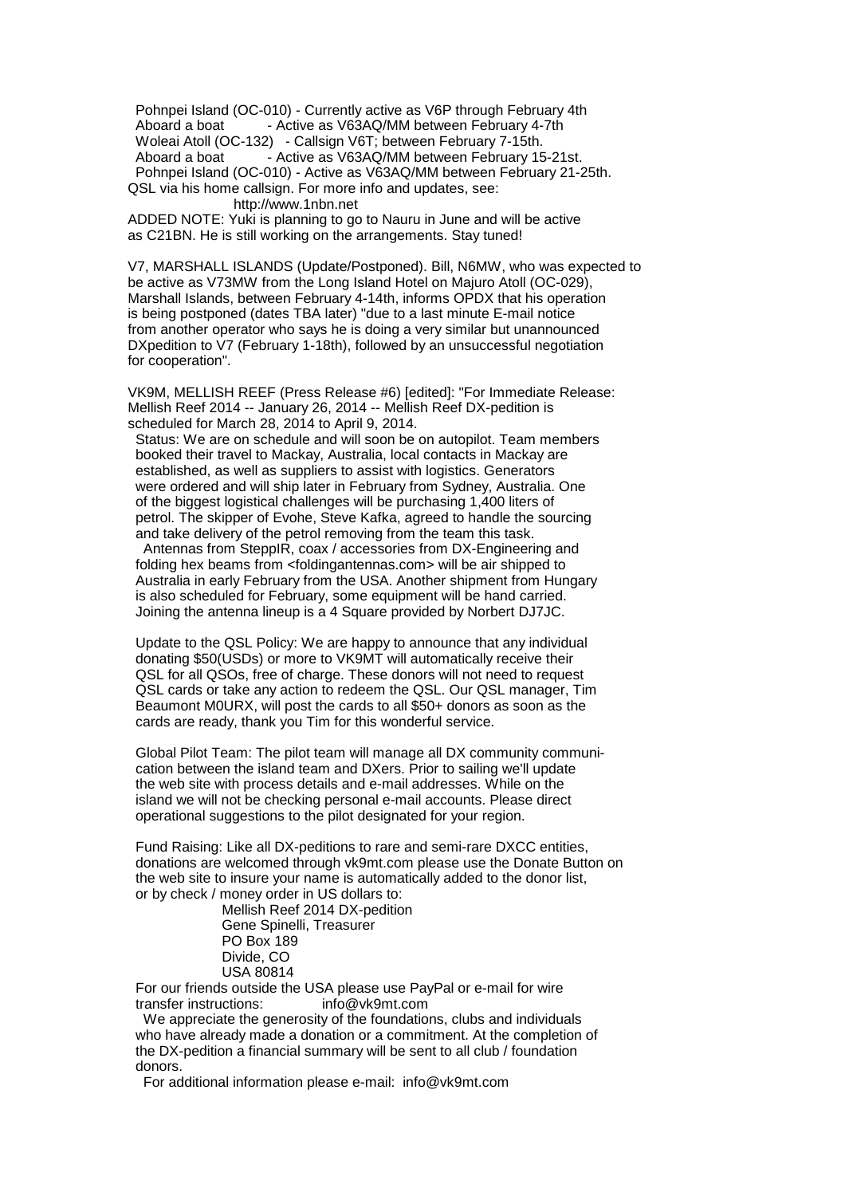Pohnpei Island (OC-010) - Currently active as V6P through February 4th Aboard a boat - Active as V63AQ/MM between February 4-7th Woleai Atoll (OC-132) - Callsign V6T; between February 7-15th. Aboard a boat - Active as V63AQ/MM between February 15-21st. Pohnpei Island (OC-010) - Active as V63AQ/MM between February 21-25th. QSL via his home callsign. For more info and updates, see:

http://www.1nbn.net

ADDED NOTE: Yuki is planning to go to Nauru in June and will be active as C21BN. He is still working on the arrangements. Stay tuned!

V7, MARSHALL ISLANDS (Update/Postponed). Bill, N6MW, who was expected to be active as V73MW from the Long Island Hotel on Majuro Atoll (OC-029), Marshall Islands, between February 4-14th, informs OPDX that his operation is being postponed (dates TBA later) "due to a last minute E-mail notice from another operator who says he is doing a very similar but unannounced DXpedition to V7 (February 1-18th), followed by an unsuccessful negotiation for cooperation".

VK9M, MELLISH REEF (Press Release #6) [edited]: "For Immediate Release: Mellish Reef 2014 -- January 26, 2014 -- Mellish Reef DX-pedition is scheduled for March 28, 2014 to April 9, 2014.

 Status: We are on schedule and will soon be on autopilot. Team members booked their travel to Mackay, Australia, local contacts in Mackay are established, as well as suppliers to assist with logistics. Generators were ordered and will ship later in February from Sydney, Australia. One of the biggest logistical challenges will be purchasing 1,400 liters of petrol. The skipper of Evohe, Steve Kafka, agreed to handle the sourcing and take delivery of the petrol removing from the team this task.

 Antennas from SteppIR, coax / accessories from DX-Engineering and folding hex beams from <foldingantennas.com> will be air shipped to Australia in early February from the USA. Another shipment from Hungary is also scheduled for February, some equipment will be hand carried. Joining the antenna lineup is a 4 Square provided by Norbert DJ7JC.

 Update to the QSL Policy: We are happy to announce that any individual donating \$50(USDs) or more to VK9MT will automatically receive their QSL for all QSOs, free of charge. These donors will not need to request QSL cards or take any action to redeem the QSL. Our QSL manager, Tim Beaumont M0URX, will post the cards to all \$50+ donors as soon as the cards are ready, thank you Tim for this wonderful service.

 Global Pilot Team: The pilot team will manage all DX community communi cation between the island team and DXers. Prior to sailing we'll update the web site with process details and e-mail addresses. While on the island we will not be checking personal e-mail accounts. Please direct operational suggestions to the pilot designated for your region.

 Fund Raising: Like all DX-peditions to rare and semi-rare DXCC entities, donations are welcomed through vk9mt.com please use the Donate Button on the web site to insure your name is automatically added to the donor list, or by check / money order in US dollars to:

 Mellish Reef 2014 DX-pedition Gene Spinelli, Treasurer PO Box 189 Divide, CO USA 80814

 For our friends outside the USA please use PayPal or e-mail for wire transfer instructions: info@vk9mt.com

 We appreciate the generosity of the foundations, clubs and individuals who have already made a donation or a commitment. At the completion of the DX-pedition a financial summary will be sent to all club / foundation donors.

For additional information please e-mail: info@vk9mt.com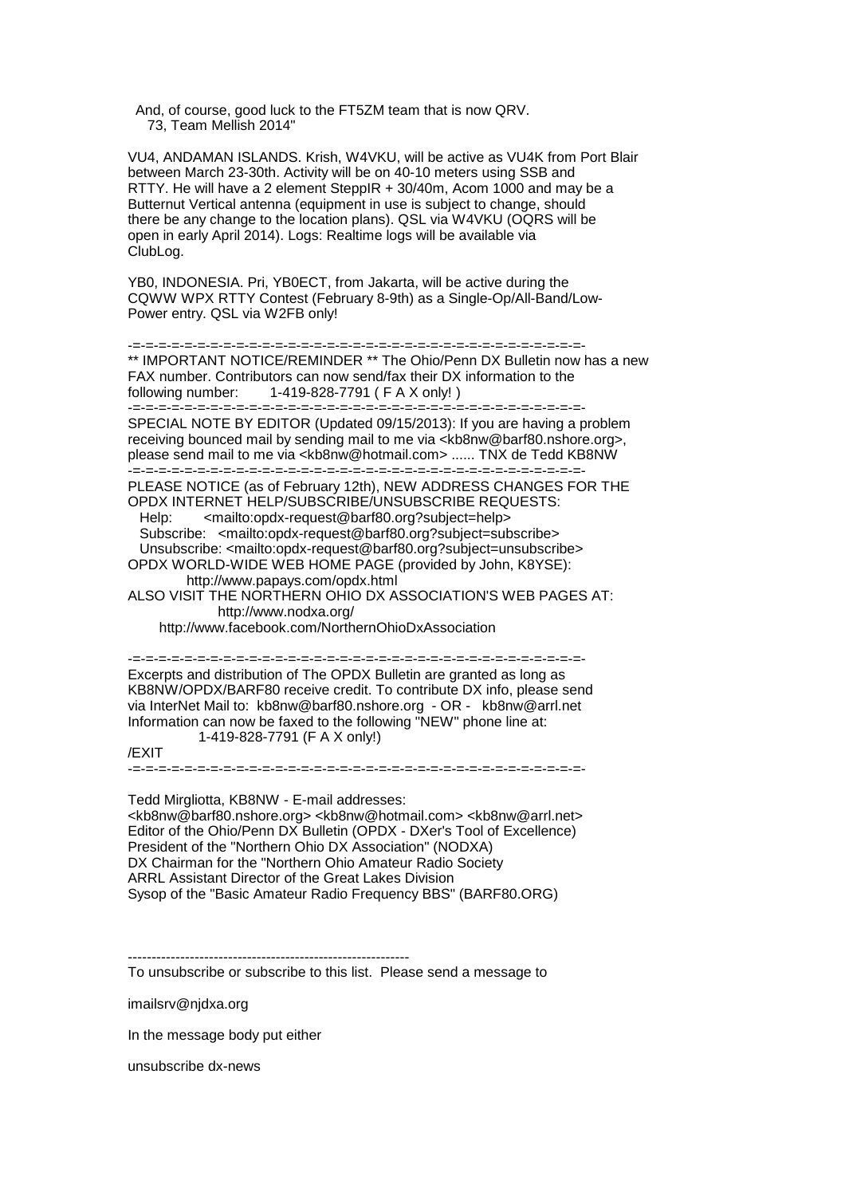And, of course, good luck to the FT5ZM team that is now QRV. 73, Team Mellish 2014"

VU4, ANDAMAN ISLANDS. Krish, W4VKU, will be active as VU4K from Port Blair between March 23-30th. Activity will be on 40-10 meters using SSB and RTTY. He will have a 2 element SteppIR + 30/40m, Acom 1000 and may be a Butternut Vertical antenna (equipment in use is subject to change, should there be any change to the location plans). QSL via W4VKU (OQRS will be open in early April 2014). Logs: Realtime logs will be available via ClubLog.

YB0, INDONESIA. Pri, YB0ECT, from Jakarta, will be active during the CQWW WPX RTTY Contest (February 8-9th) as a Single-Op/All-Band/Low-Power entry. QSL via W2FB only!

-=-=-=-=-=-=-=-=-=-=-=-=-=-=-=-=-=-=-=-=-=-=-=-=-=-=-=-=-=-=-=-=-=-=-=- \*\* IMPORTANT NOTICE/REMINDER \*\* The Ohio/Penn DX Bulletin now has a new FAX number. Contributors can now send/fax their DX information to the following number: 1-419-828-7791 ( F A X only! )

 $-$  -parameter  $\sim$  -parameter  $\sim$  -parameter  $\sim$  -parameter  $\sim$  -parameters SPECIAL NOTE BY EDITOR (Updated 09/15/2013): If you are having a problem receiving bounced mail by sending mail to me via <kb8nw@barf80.nshore.org>, please send mail to me via <kb8nw@hotmail.com> ...... TNX de Tedd KB8NW -=-=-=-=-=-=-=-=-=-=-=-=-=-=-=-=-=-=-=-=-=-=-=-=-=-=-=-=-=-=-=-=-=-=-=-

PLEASE NOTICE (as of February 12th), NEW ADDRESS CHANGES FOR THE OPDX INTERNET HELP/SUBSCRIBE/UNSUBSCRIBE REQUESTS:

Help:  $\langle$  -mailto:opdx-request@barf80.org?subject=help> Subscribe: <mailto:opdx-request@barf80.org?subject=subscribe> Unsubscribe: <mailto:opdx-request@barf80.org?subject=unsubscribe> OPDX WORLD-WIDE WEB HOME PAGE (provided by John, K8YSE):

 http://www.papays.com/opdx.html ALSO VISIT THE NORTHERN OHIO DX ASSOCIATION'S WEB PAGES AT:

http://www.nodxa.org/

http://www.facebook.com/NorthernOhioDxAssociation

-=-=-=-=-=-=-=-=-=-=-=-=-=-=-=-=-=-=-=-=-=-=-=-=-=-=-=-=-=-=-=-=-=-=-=- Excerpts and distribution of The OPDX Bulletin are granted as long as KB8NW/OPDX/BARF80 receive credit. To contribute DX info, please send via InterNet Mail to: kb8nw@barf80.nshore.org - OR - kb8nw@arrl.net Information can now be faxed to the following "NEW" phone line at: 1-419-828-7791 (F A X only!)

/EXIT

-=-=-=-=-=-=-=-=-=-=-=-=-=-=-=-=-=-=-=-=-=-=-=-=-=-=-=-=-=-=-=-=-=-=-=-

Tedd Mirgliotta, KB8NW - E-mail addresses: <kb8nw@barf80.nshore.org> <kb8nw@hotmail.com> <kb8nw@arrl.net> Editor of the Ohio/Penn DX Bulletin (OPDX - DXer's Tool of Excellence) President of the "Northern Ohio DX Association" (NODXA) DX Chairman for the "Northern Ohio Amateur Radio Society ARRL Assistant Director of the Great Lakes Division Sysop of the "Basic Amateur Radio Frequency BBS" (BARF80.ORG)

To unsubscribe or subscribe to this list. Please send a message to

imailsrv@njdxa.org

In the message body put either

unsubscribe dx-news